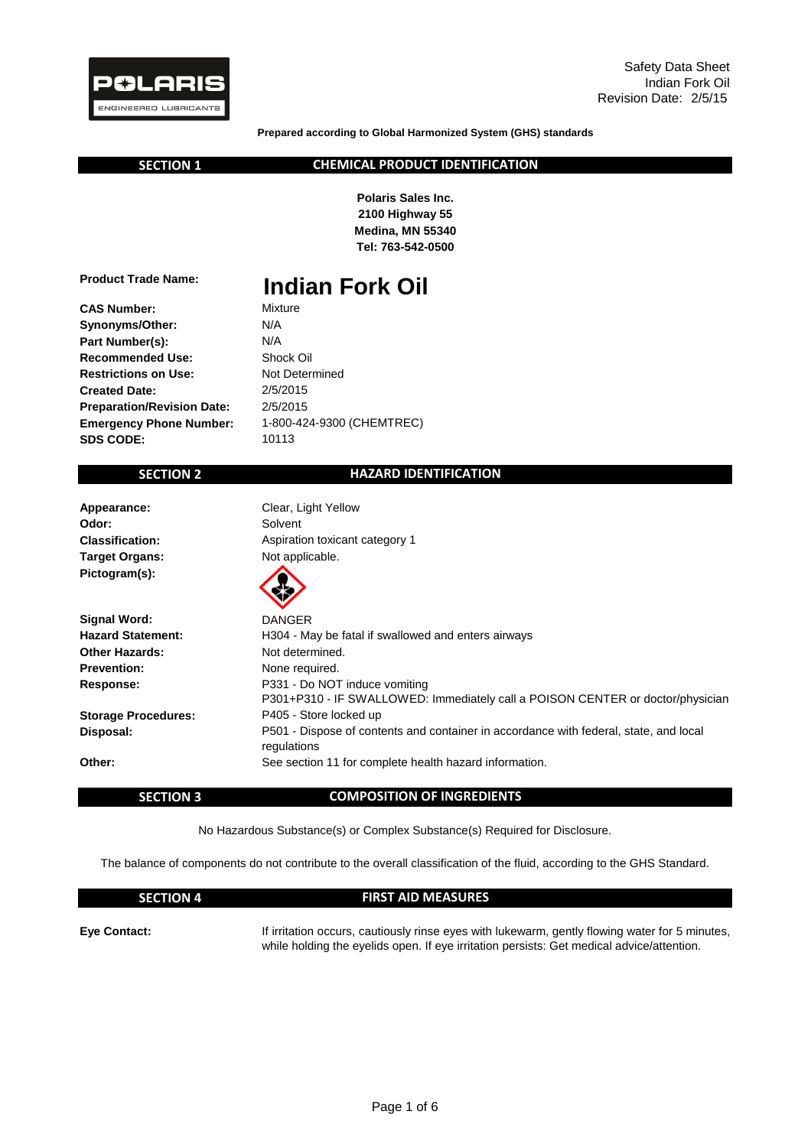

**Prepared according to Global Harmonized System (GHS) standards**

 **SECTION 1**

#### **CHEMICAL PRODUCT IDENTIFICATION**

**Polaris Sales Inc. 2100 Highway 55 Medina, MN 55340 Tel: 763-542-0500**

**Product Trade Name:**

**CAS Number:**

- Mixture **Indian Fork Oil**
- **Synonyms/Other: Part Number(s): Recommended Use: Restrictions on Use: Created Date: Preparation/Revision Date: Emergency Phone Number: SDS CODE:**

2/5/2015 Not Determined Shock Oil N/A 1-800-424-9300 (CHEMTREC) 2/5/2015 10113 N/A

## **SECTION 2**

#### **HAZARD IDENTIFICATION**

**Appearance: Odor: Classification: Target Organs:** Pictogram(s):

Clear, Light Yellow Not applicable. Aspiration toxicant category 1 Solvent

|                            | W                                                                                                               |
|----------------------------|-----------------------------------------------------------------------------------------------------------------|
| <b>Signal Word:</b>        | <b>DANGER</b>                                                                                                   |
| <b>Hazard Statement:</b>   | H304 - May be fatal if swallowed and enters airways                                                             |
| <b>Other Hazards:</b>      | Not determined.                                                                                                 |
| <b>Prevention:</b>         | None required.                                                                                                  |
| Response:                  | P331 - Do NOT induce vomiting<br>P301+P310 - IF SWALLOWED: Immediately call a POISON CENTER or doctor/physician |
| <b>Storage Procedures:</b> | P405 - Store locked up                                                                                          |
| Disposal:                  | P501 - Dispose of contents and container in accordance with federal, state, and local<br>regulations            |
| Other:                     | See section 11 for complete health hazard information.                                                          |

#### **SECTION 3**

### **COMPOSITION OF INGREDIENTS**

No Hazardous Substance(s) or Complex Substance(s) Required for Disclosure.

The balance of components do not contribute to the overall classification of the fluid, according to the GHS Standard.

#### **SECTION 4**

#### **FIRST AID MEASURES**

**Eye Contact:**

If irritation occurs, cautiously rinse eyes with lukewarm, gently flowing water for 5 minutes, while holding the eyelids open. If eye irritation persists: Get medical advice/attention.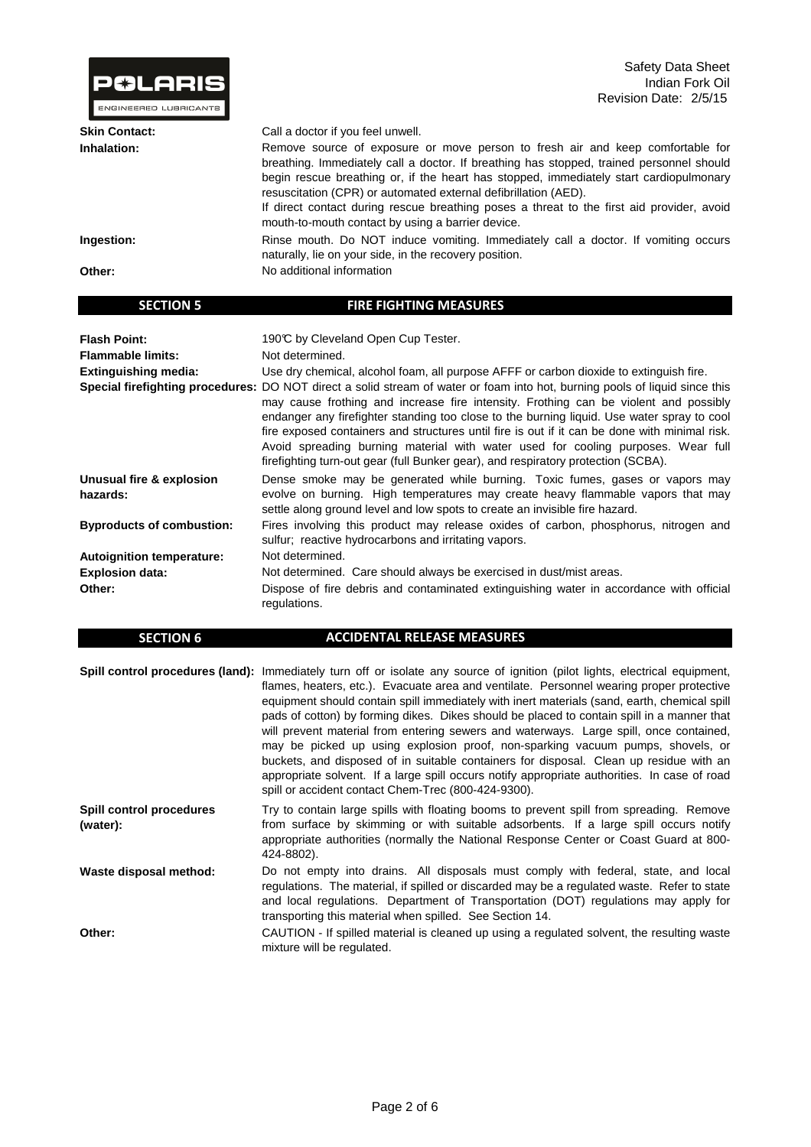| <b>P&amp;LARIS</b><br>ENGINEERED LUBRICANTS | Safety Data Sheet<br>Indian Fork Oil<br>Revision Date: 2/5/15                                                                                                                                                                                                                                                                                                                                                                                                                             |
|---------------------------------------------|-------------------------------------------------------------------------------------------------------------------------------------------------------------------------------------------------------------------------------------------------------------------------------------------------------------------------------------------------------------------------------------------------------------------------------------------------------------------------------------------|
| <b>Skin Contact:</b>                        | Call a doctor if you feel unwell.                                                                                                                                                                                                                                                                                                                                                                                                                                                         |
| Inhalation:                                 | Remove source of exposure or move person to fresh air and keep comfortable for<br>breathing. Immediately call a doctor. If breathing has stopped, trained personnel should<br>begin rescue breathing or, if the heart has stopped, immediately start cardiopulmonary<br>resuscitation (CPR) or automated external defibrillation (AED).<br>If direct contact during rescue breathing poses a threat to the first aid provider, avoid<br>mouth-to-mouth contact by using a barrier device. |
| Ingestion:                                  | Rinse mouth. Do NOT induce vomiting. Immediately call a doctor. If vomiting occurs<br>naturally, lie on your side, in the recovery position.                                                                                                                                                                                                                                                                                                                                              |
| Other:                                      | No additional information                                                                                                                                                                                                                                                                                                                                                                                                                                                                 |
| <b>SECTION 5</b>                            | <b>FIRE FIGHTING MEASURES</b>                                                                                                                                                                                                                                                                                                                                                                                                                                                             |

| <b>Flash Point:</b><br><b>Flammable limits:</b><br><b>Extinguishing media:</b> | 190℃ by Cleveland Open Cup Tester.<br>Not determined.<br>Use dry chemical, alcohol foam, all purpose AFFF or carbon dioxide to extinguish fire.<br>Special firefighting procedures: DO NOT direct a solid stream of water or foam into hot, burning pools of liquid since this<br>may cause frothing and increase fire intensity. Frothing can be violent and possibly<br>endanger any firefighter standing too close to the burning liquid. Use water spray to cool<br>fire exposed containers and structures until fire is out if it can be done with minimal risk.<br>Avoid spreading burning material with water used for cooling purposes. Wear full<br>firefighting turn-out gear (full Bunker gear), and respiratory protection (SCBA). |
|--------------------------------------------------------------------------------|------------------------------------------------------------------------------------------------------------------------------------------------------------------------------------------------------------------------------------------------------------------------------------------------------------------------------------------------------------------------------------------------------------------------------------------------------------------------------------------------------------------------------------------------------------------------------------------------------------------------------------------------------------------------------------------------------------------------------------------------|
| Unusual fire & explosion<br>hazards:                                           | Dense smoke may be generated while burning. Toxic fumes, gases or vapors may<br>evolve on burning. High temperatures may create heavy flammable vapors that may<br>settle along ground level and low spots to create an invisible fire hazard.                                                                                                                                                                                                                                                                                                                                                                                                                                                                                                 |
| <b>Byproducts of combustion:</b>                                               | Fires involving this product may release oxides of carbon, phosphorus, nitrogen and<br>sulfur; reactive hydrocarbons and irritating vapors.                                                                                                                                                                                                                                                                                                                                                                                                                                                                                                                                                                                                    |
| <b>Autoignition temperature:</b>                                               | Not determined.                                                                                                                                                                                                                                                                                                                                                                                                                                                                                                                                                                                                                                                                                                                                |
| <b>Explosion data:</b>                                                         | Not determined. Care should always be exercised in dust/mist areas.                                                                                                                                                                                                                                                                                                                                                                                                                                                                                                                                                                                                                                                                            |
| Other:                                                                         | Dispose of fire debris and contaminated extinguishing water in accordance with official<br>regulations.                                                                                                                                                                                                                                                                                                                                                                                                                                                                                                                                                                                                                                        |

| <b>SECTION 6</b> | <b>ACCIDENTAL RELEASE MEASURES</b>                                                               |
|------------------|--------------------------------------------------------------------------------------------------|
|                  |                                                                                                  |
|                  | <b>Spill control procedures (land):</b> Immediately turn off or isolate any source of ignition ( |

|                                             | <b>Spill control procedures (land):</b> Immediately turn off or isolate any source of ignition (pilot lights, electrical equipment,<br>flames, heaters, etc.). Evacuate area and ventilate. Personnel wearing proper protective<br>equipment should contain spill immediately with inert materials (sand, earth, chemical spill<br>pads of cotton) by forming dikes. Dikes should be placed to contain spill in a manner that<br>will prevent material from entering sewers and waterways. Large spill, once contained,<br>may be picked up using explosion proof, non-sparking vacuum pumps, shovels, or<br>buckets, and disposed of in suitable containers for disposal. Clean up residue with an<br>appropriate solvent. If a large spill occurs notify appropriate authorities. In case of road<br>spill or accident contact Chem-Trec (800-424-9300). |
|---------------------------------------------|------------------------------------------------------------------------------------------------------------------------------------------------------------------------------------------------------------------------------------------------------------------------------------------------------------------------------------------------------------------------------------------------------------------------------------------------------------------------------------------------------------------------------------------------------------------------------------------------------------------------------------------------------------------------------------------------------------------------------------------------------------------------------------------------------------------------------------------------------------|
| <b>Spill control procedures</b><br>(water): | Try to contain large spills with floating booms to prevent spill from spreading. Remove<br>from surface by skimming or with suitable adsorbents. If a large spill occurs notify<br>appropriate authorities (normally the National Response Center or Coast Guard at 800-<br>424-8802).                                                                                                                                                                                                                                                                                                                                                                                                                                                                                                                                                                     |
| Waste disposal method:                      | Do not empty into drains. All disposals must comply with federal, state, and local<br>regulations. The material, if spilled or discarded may be a regulated waste. Refer to state<br>and local regulations. Department of Transportation (DOT) regulations may apply for<br>transporting this material when spilled. See Section 14.                                                                                                                                                                                                                                                                                                                                                                                                                                                                                                                       |
| Other:                                      | CAUTION - If spilled material is cleaned up using a regulated solvent, the resulting waste<br>mixture will be regulated.                                                                                                                                                                                                                                                                                                                                                                                                                                                                                                                                                                                                                                                                                                                                   |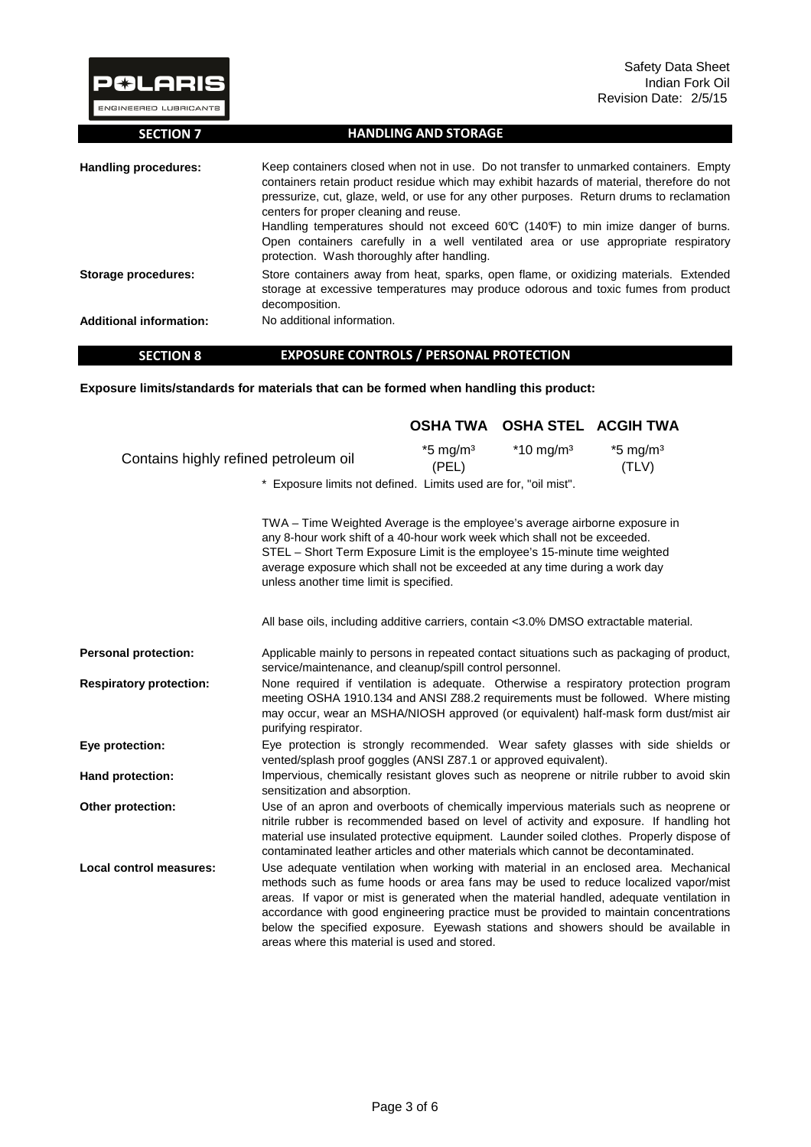| <b>P&amp;LARIS</b><br><b>ENGINEERED LUBRICANTS</b> | Safety Data Sheet<br>Indian Fork Oil<br>Revision Date: 2/5/15                                                                                                                                                                                                                                                                                                                                                                                                                                                                                       |
|----------------------------------------------------|-----------------------------------------------------------------------------------------------------------------------------------------------------------------------------------------------------------------------------------------------------------------------------------------------------------------------------------------------------------------------------------------------------------------------------------------------------------------------------------------------------------------------------------------------------|
| <b>SECTION 7</b>                                   | <b>HANDLING AND STORAGE</b>                                                                                                                                                                                                                                                                                                                                                                                                                                                                                                                         |
| Handling procedures:                               | Keep containers closed when not in use. Do not transfer to unmarked containers. Empty<br>containers retain product residue which may exhibit hazards of material, therefore do not<br>pressurize, cut, glaze, weld, or use for any other purposes. Return drums to reclamation<br>centers for proper cleaning and reuse.<br>Handling temperatures should not exceed 60°C (140°F) to min imize danger of burns.<br>Open containers carefully in a well ventilated area or use appropriate respiratory<br>protection. Wash thoroughly after handling. |
| Storage procedures:                                | Store containers away from heat, sparks, open flame, or oxidizing materials. Extended<br>storage at excessive temperatures may produce odorous and toxic fumes from product<br>decomposition.                                                                                                                                                                                                                                                                                                                                                       |
| <b>Additional information:</b>                     | No additional information.                                                                                                                                                                                                                                                                                                                                                                                                                                                                                                                          |

#### **SECTION 8 EXPOSURE CONTROLS / PERSONAL PROTECTION**

**Exposure limits/standards for materials that can be formed when handling this product:** 

|                                       |                                                                                                                                                                                                                                                                                                                                                                                                                                                                                                     |                                 | OSHA TWA OSHA STEL ACGIH TWA |                                 |
|---------------------------------------|-----------------------------------------------------------------------------------------------------------------------------------------------------------------------------------------------------------------------------------------------------------------------------------------------------------------------------------------------------------------------------------------------------------------------------------------------------------------------------------------------------|---------------------------------|------------------------------|---------------------------------|
| Contains highly refined petroleum oil |                                                                                                                                                                                                                                                                                                                                                                                                                                                                                                     | $*5$ mg/m <sup>3</sup><br>(PEL) | $*10$ mg/m <sup>3</sup>      | $*5$ mg/m <sup>3</sup><br>(TLV) |
|                                       | * Exposure limits not defined. Limits used are for, "oil mist".                                                                                                                                                                                                                                                                                                                                                                                                                                     |                                 |                              |                                 |
|                                       | TWA – Time Weighted Average is the employee's average airborne exposure in<br>any 8-hour work shift of a 40-hour work week which shall not be exceeded.<br>STEL - Short Term Exposure Limit is the employee's 15-minute time weighted<br>average exposure which shall not be exceeded at any time during a work day<br>unless another time limit is specified.                                                                                                                                      |                                 |                              |                                 |
|                                       | All base oils, including additive carriers, contain <3.0% DMSO extractable material.                                                                                                                                                                                                                                                                                                                                                                                                                |                                 |                              |                                 |
| <b>Personal protection:</b>           | Applicable mainly to persons in repeated contact situations such as packaging of product,<br>service/maintenance, and cleanup/spill control personnel.                                                                                                                                                                                                                                                                                                                                              |                                 |                              |                                 |
| <b>Respiratory protection:</b>        | None required if ventilation is adequate. Otherwise a respiratory protection program<br>meeting OSHA 1910.134 and ANSI Z88.2 requirements must be followed. Where misting<br>may occur, wear an MSHA/NIOSH approved (or equivalent) half-mask form dust/mist air<br>purifying respirator.                                                                                                                                                                                                           |                                 |                              |                                 |
| Eye protection:                       | Eye protection is strongly recommended. Wear safety glasses with side shields or<br>vented/splash proof goggles (ANSI Z87.1 or approved equivalent).                                                                                                                                                                                                                                                                                                                                                |                                 |                              |                                 |
| Hand protection:                      | Impervious, chemically resistant gloves such as neoprene or nitrile rubber to avoid skin<br>sensitization and absorption.                                                                                                                                                                                                                                                                                                                                                                           |                                 |                              |                                 |
| Other protection:                     | Use of an apron and overboots of chemically impervious materials such as neoprene or<br>nitrile rubber is recommended based on level of activity and exposure. If handling hot<br>material use insulated protective equipment. Launder soiled clothes. Properly dispose of<br>contaminated leather articles and other materials which cannot be decontaminated.                                                                                                                                     |                                 |                              |                                 |
| Local control measures:               | Use adequate ventilation when working with material in an enclosed area. Mechanical<br>methods such as fume hoods or area fans may be used to reduce localized vapor/mist<br>areas. If vapor or mist is generated when the material handled, adequate ventilation in<br>accordance with good engineering practice must be provided to maintain concentrations<br>below the specified exposure. Eyewash stations and showers should be available in<br>areas where this material is used and stored. |                                 |                              |                                 |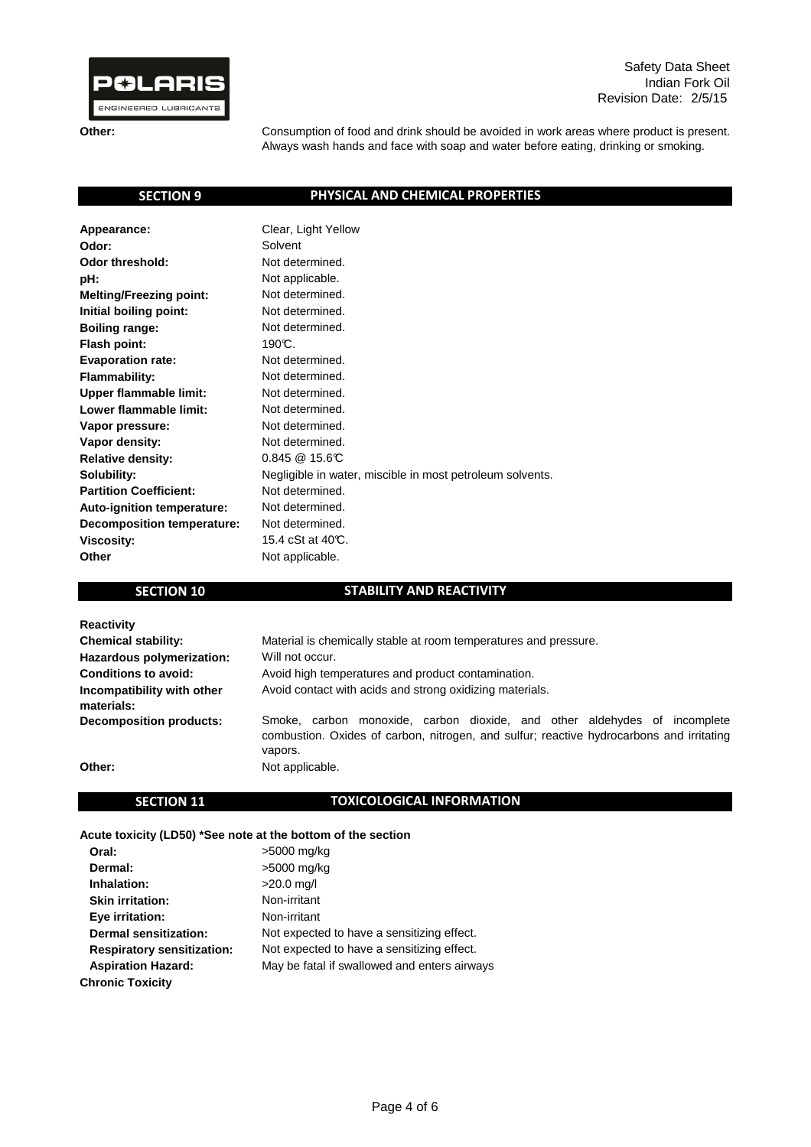

Safety Data Sheet Indian Fork Oil Revision Date: 2/5/15

**Other:**

Consumption of food and drink should be avoided in work areas where product is present. Always wash hands and face with soap and water before eating, drinking or smoking.

## **SECTION 9**

## **PHYSICAL AND CHEMICAL PROPERTIES**

| Appearance:                    | Clear, Light Yellow                                       |
|--------------------------------|-----------------------------------------------------------|
| Odor:                          | Solvent                                                   |
| <b>Odor threshold:</b>         | Not determined.                                           |
| pH:                            | Not applicable.                                           |
| <b>Melting/Freezing point:</b> | Not determined.                                           |
| Initial boiling point:         | Not determined.                                           |
| <b>Boiling range:</b>          | Not determined.                                           |
| Flash point:                   | 190℃.                                                     |
| <b>Evaporation rate:</b>       | Not determined.                                           |
| <b>Flammability:</b>           | Not determined.                                           |
| <b>Upper flammable limit:</b>  | Not determined.                                           |
| Lower flammable limit:         | Not determined.                                           |
| Vapor pressure:                | Not determined.                                           |
| Vapor density:                 | Not determined.                                           |
| <b>Relative density:</b>       | $0.845 \ @ \ 15.6 \text{C}$                               |
| Solubility:                    | Negligible in water, miscible in most petroleum solvents. |
| <b>Partition Coefficient:</b>  | Not determined.                                           |
| Auto-ignition temperature:     | Not determined.                                           |
| Decomposition temperature:     | Not determined.                                           |
| <b>Viscosity:</b>              | 15.4 cSt at 40°C.                                         |
| Other                          | Not applicable.                                           |

### **SECTION 10**

## **STABILITY AND REACTIVITY**

| <b>Reactivity</b>                        |                                                                                                                                                                                  |
|------------------------------------------|----------------------------------------------------------------------------------------------------------------------------------------------------------------------------------|
| <b>Chemical stability:</b>               | Material is chemically stable at room temperatures and pressure.                                                                                                                 |
| Hazardous polymerization:                | Will not occur.                                                                                                                                                                  |
| Conditions to avoid:                     | Avoid high temperatures and product contamination.                                                                                                                               |
| Incompatibility with other<br>materials: | Avoid contact with acids and strong oxidizing materials.                                                                                                                         |
| <b>Decomposition products:</b>           | Smoke, carbon monoxide, carbon dioxide, and other aldehydes of incomplete<br>combustion. Oxides of carbon, nitrogen, and sulfur; reactive hydrocarbons and irritating<br>vapors. |
| Other:                                   | Not applicable.                                                                                                                                                                  |

# **SECTION 11**

### **TOXICOLOGICAL INFORMATION**

**Acute toxicity (LD50) \*See note at the bottom of the section**

| Oral:                             | >5000 mg/kg                                  |
|-----------------------------------|----------------------------------------------|
| Dermal:                           | >5000 mg/kg                                  |
| Inhalation:                       | $>20.0$ mg/l                                 |
| <b>Skin irritation:</b>           | Non-irritant                                 |
| Eye irritation:                   | Non-irritant                                 |
| <b>Dermal sensitization:</b>      | Not expected to have a sensitizing effect.   |
| <b>Respiratory sensitization:</b> | Not expected to have a sensitizing effect.   |
| <b>Aspiration Hazard:</b>         | May be fatal if swallowed and enters airways |
| <b>Chronic Toxicity</b>           |                                              |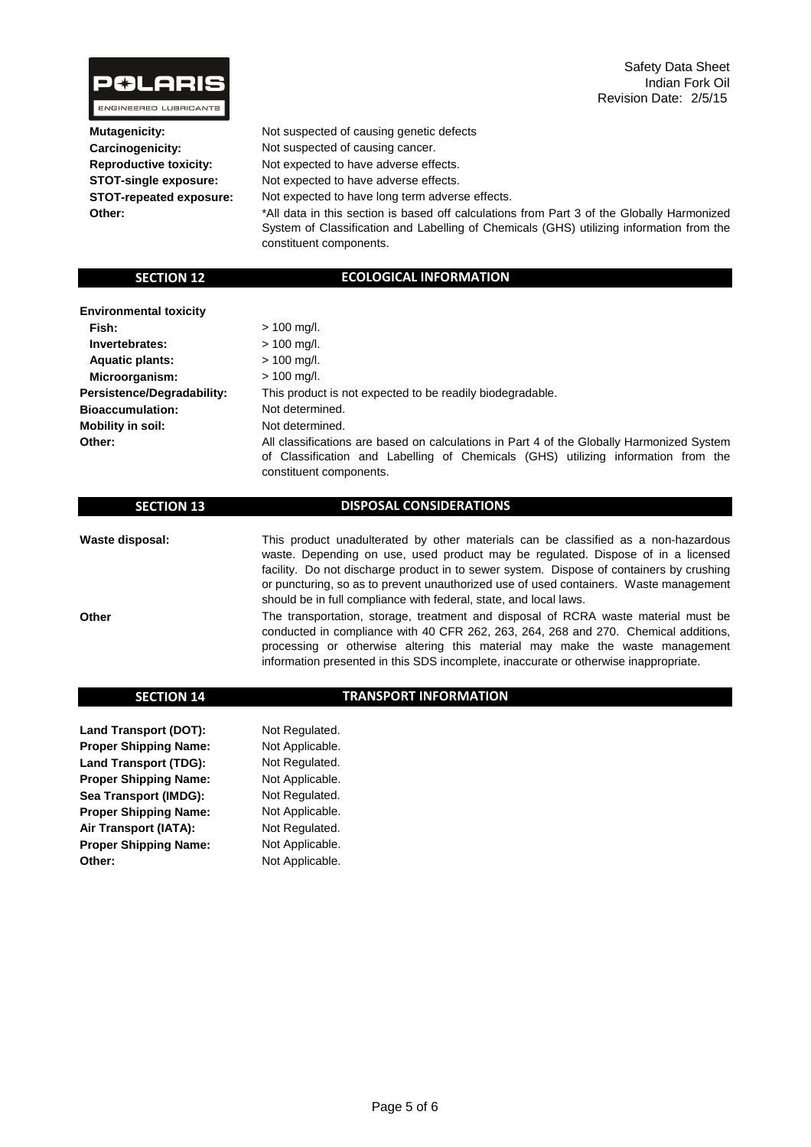

 **Mutagenicity: Carcinogenicity: Reproductive toxicity: STOT-single exposure: STOT-repeated exposure: Other:**

Not suspected of causing genetic defects Not expected to have adverse effects. Not expected to have adverse effects. Not expected to have long term adverse effects. Not suspected of causing cancer.

\*All data in this section is based off calculations from Part 3 of the Globally Harmonized System of Classification and Labelling of Chemicals (GHS) utilizing information from the constituent components.

#### **SECTION 12**

## **ECOLOGICAL INFORMATION**

| <b>Environmental toxicity</b> |                                                                                                                                                                                                           |
|-------------------------------|-----------------------------------------------------------------------------------------------------------------------------------------------------------------------------------------------------------|
| Fish:                         | $> 100$ mg/l.                                                                                                                                                                                             |
| Invertebrates:                | $> 100$ mg/l.                                                                                                                                                                                             |
| <b>Aquatic plants:</b>        | $> 100$ mg/l.                                                                                                                                                                                             |
| Microorganism:                | $> 100$ mg/l.                                                                                                                                                                                             |
| Persistence/Degradability:    | This product is not expected to be readily biodegradable.                                                                                                                                                 |
| <b>Bioaccumulation:</b>       | Not determined.                                                                                                                                                                                           |
| <b>Mobility in soil:</b>      | Not determined.                                                                                                                                                                                           |
| Other:                        | All classifications are based on calculations in Part 4 of the Globally Harmonized System<br>of Classification and Labelling of Chemicals (GHS) utilizing information from the<br>constituent components. |

| <b>SECTION 13</b> | <b>DISPOSAL CONSIDERATIONS</b>                                                                                                                                                                                                                                                                                                                                                                                                   |
|-------------------|----------------------------------------------------------------------------------------------------------------------------------------------------------------------------------------------------------------------------------------------------------------------------------------------------------------------------------------------------------------------------------------------------------------------------------|
| Waste disposal:   | This product unadulterated by other materials can be classified as a non-hazardous<br>waste. Depending on use, used product may be regulated. Dispose of in a licensed<br>facility. Do not discharge product in to sewer system. Dispose of containers by crushing<br>or puncturing, so as to prevent unauthorized use of used containers. Waste management<br>should be in full compliance with federal, state, and local laws. |
| Other             | The transportation, storage, treatment and disposal of RCRA waste material must be<br>conducted in compliance with 40 CFR 262, 263, 264, 268 and 270. Chemical additions,<br>processing or otherwise altering this material may make the waste management                                                                                                                                                                        |

information presented in this SDS incomplete, inaccurate or otherwise inappropriate.

#### **SECTION 14 Land Transport (DOT): Proper Shipping Name: TRANSPORT INFORMATION** Not Applicable. Not Regulated.

**Land Transport (TDG): Proper Shipping Name: Sea Transport (IMDG): Proper Shipping Name: Air Transport (IATA): Proper Shipping Name: Other:** Not Applicable. Not Applicable. Not Applicable. Not Regulated. Not Regulated. Not Regulated. Not Applicable.

Page 5 of 6